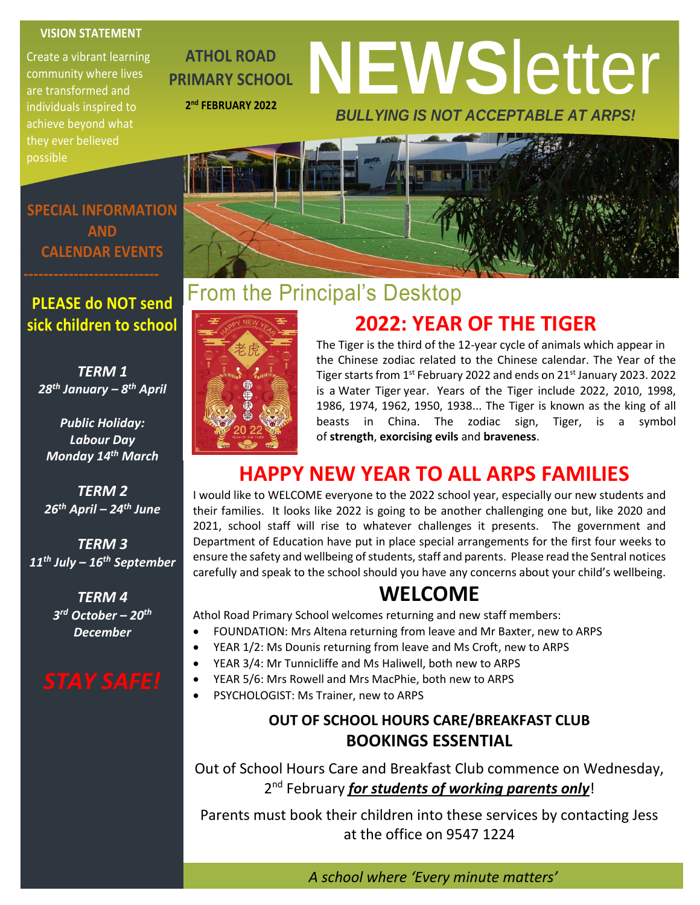#### **VISION STATEMENT**

Create a vibrant learning community where lives are transformed and individuals inspired to achieve beyond what they ever believed possible

**ATHOL ROAD PRIMARY SCHOOL 2 nd FEBRUARY 2022**

# **NEWS**letter *BULLYING IS NOT ACCEPTABLE AT ARPS!*

**SPECIAL INFORMATION AND CALENDAR EVENTS**

### **PLEASE do NOT send sick children to school**

*TERM 1 28th January – 8 th April*

*Public Holiday: Labour Day Monday 14th March*

*TERM 2 26th April – 24th June*

*TERM 3 11th July – 16th September*

> *TERM 4 3 rd October – 20th December*



## From the Principal's Desktop



The Tiger is the third of the 12-year cycle of animals which appear in the Chinese zodiac related to the Chinese calendar. The Year of the Tiger starts from 1st February 2022 and ends on 21st January 2023. 2022 is a Water Tiger year. Years of the Tiger include 2022, 2010, 1998, 1986, 1974, 1962, 1950, 1938... The Tiger is known as the king of all beasts in China. The zodiac sign, Tiger, is a symbol of **strength**, **exorcising evils** and **braveness**.

 **2022: YEAR OF THE TIGER**

### **HAPPY NEW YEAR TO ALL ARPS FAMILIES**

I would like to WELCOME everyone to the 2022 school year, especially our new students and their families. It looks like 2022 is going to be another challenging one but, like 2020 and 2021, school staff will rise to whatever challenges it presents. The government and Department of Education have put in place special arrangements for the first four weeks to ensure the safety and wellbeing of students, staff and parents. Please read the Sentral notices carefully and speak to the school should you have any concerns about your child's wellbeing.

### **WELCOME**

Athol Road Primary School welcomes returning and new staff members:

- FOUNDATION: Mrs Altena returning from leave and Mr Baxter, new to ARPS
- YEAR 1/2: Ms Dounis returning from leave and Ms Croft, new to ARPS
- YEAR 3/4: Mr Tunnicliffe and Ms Haliwell, both new to ARPS
- YEAR 5/6: Mrs Rowell and Mrs MacPhie, both new to ARPS
- PSYCHOLOGIST: Ms Trainer, new to ARPS

#### **OUT OF SCHOOL HOURS CARE/BREAKFAST CLUB BOOKINGS ESSENTIAL**

Out of School Hours Care and Breakfast Club commence on Wednesday, 2<sup>nd</sup> February *for students of working parents only*!

Parents must book their children into these services by contacting Jess at the office on 9547 1224

*A school where 'Every minute matters'*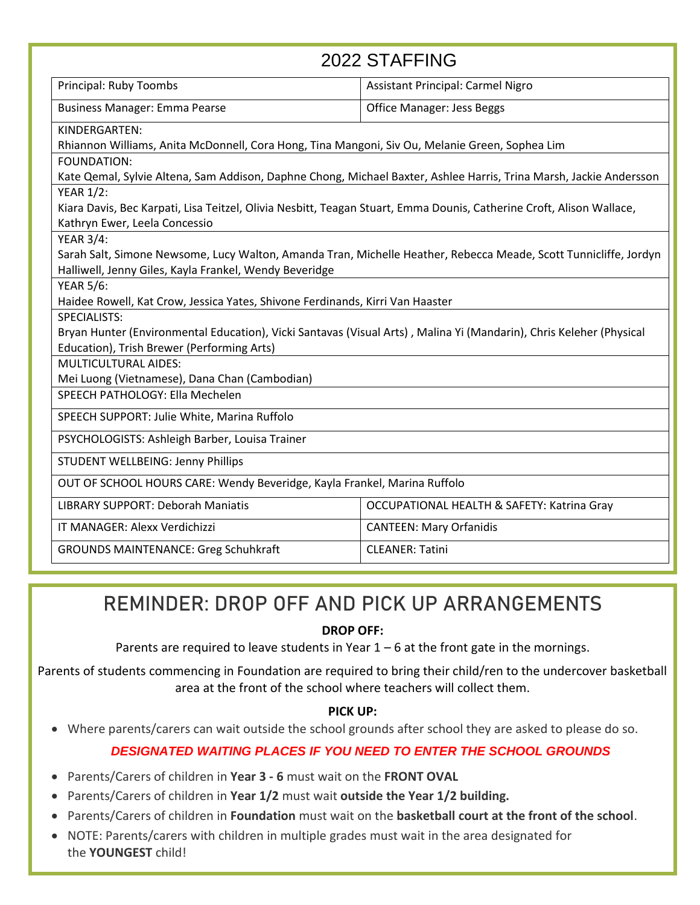| 2022 STAFFING                                                                                                                                                     |                                                       |
|-------------------------------------------------------------------------------------------------------------------------------------------------------------------|-------------------------------------------------------|
| Principal: Ruby Toombs                                                                                                                                            | <b>Assistant Principal: Carmel Nigro</b>              |
| <b>Business Manager: Emma Pearse</b>                                                                                                                              | <b>Office Manager: Jess Beggs</b>                     |
| KINDERGARTEN:                                                                                                                                                     |                                                       |
| Rhiannon Williams, Anita McDonnell, Cora Hong, Tina Mangoni, Siv Ou, Melanie Green, Sophea Lim                                                                    |                                                       |
| FOUNDATION:                                                                                                                                                       |                                                       |
| Kate Qemal, Sylvie Altena, Sam Addison, Daphne Chong, Michael Baxter, Ashlee Harris, Trina Marsh, Jackie Andersson                                                |                                                       |
| <b>YEAR 1/2:</b>                                                                                                                                                  |                                                       |
| Kiara Davis, Bec Karpati, Lisa Teitzel, Olivia Nesbitt, Teagan Stuart, Emma Dounis, Catherine Croft, Alison Wallace,                                              |                                                       |
| Kathryn Ewer, Leela Concessio                                                                                                                                     |                                                       |
| <b>YEAR 3/4:</b>                                                                                                                                                  |                                                       |
| Sarah Salt, Simone Newsome, Lucy Walton, Amanda Tran, Michelle Heather, Rebecca Meade, Scott Tunnicliffe, Jordyn                                                  |                                                       |
| Halliwell, Jenny Giles, Kayla Frankel, Wendy Beveridge                                                                                                            |                                                       |
| <b>YEAR 5/6:</b>                                                                                                                                                  |                                                       |
| Haidee Rowell, Kat Crow, Jessica Yates, Shivone Ferdinands, Kirri Van Haaster                                                                                     |                                                       |
| <b>SPECIALISTS:</b>                                                                                                                                               |                                                       |
| Bryan Hunter (Environmental Education), Vicki Santavas (Visual Arts), Malina Yi (Mandarin), Chris Keleher (Physical<br>Education), Trish Brewer (Performing Arts) |                                                       |
| <b>MULTICULTURAL AIDES:</b>                                                                                                                                       |                                                       |
| Mei Luong (Vietnamese), Dana Chan (Cambodian)                                                                                                                     |                                                       |
| SPEECH PATHOLOGY: Ella Mechelen                                                                                                                                   |                                                       |
|                                                                                                                                                                   |                                                       |
| SPEECH SUPPORT: Julie White, Marina Ruffolo                                                                                                                       |                                                       |
| PSYCHOLOGISTS: Ashleigh Barber, Louisa Trainer                                                                                                                    |                                                       |
| <b>STUDENT WELLBEING: Jenny Phillips</b>                                                                                                                          |                                                       |
| OUT OF SCHOOL HOURS CARE: Wendy Beveridge, Kayla Frankel, Marina Ruffolo                                                                                          |                                                       |
| <b>LIBRARY SUPPORT: Deborah Maniatis</b>                                                                                                                          | <b>OCCUPATIONAL HEALTH &amp; SAFETY: Katrina Gray</b> |
| IT MANAGER: Alexx Verdichizzi                                                                                                                                     | <b>CANTEEN: Mary Orfanidis</b>                        |
| <b>GROUNDS MAINTENANCE: Greg Schuhkraft</b>                                                                                                                       | <b>CLEANER: Tatini</b>                                |

### REMINDER: DROP OFF AND PICK UP ARRANGEMENTS

#### **DROP OFF:**

Parents are required to leave students in Year  $1 - 6$  at the front gate in the mornings.

Parents of students commencing in Foundation are required to bring their child/ren to the undercover basketball area at the front of the school where teachers will collect them.

#### **PICK UP:**

• Where parents/carers can wait outside the school grounds after school they are asked to please do so.

#### *DESIGNATED WAITING PLACES IF YOU NEED TO ENTER THE SCHOOL GROUNDS*

- Parents/Carers of children in **Year 3 - 6** must wait on the **FRONT OVAL**
- Parents/Carers of children in **Year 1/2** must wait **outside the Year 1/2 building.**
- Parents/Carers of children in **Foundation** must wait on the **basketball court at the front of the school**.
- NOTE: Parents/carers with children in multiple grades must wait in the area designated for the **YOUNGEST** child!